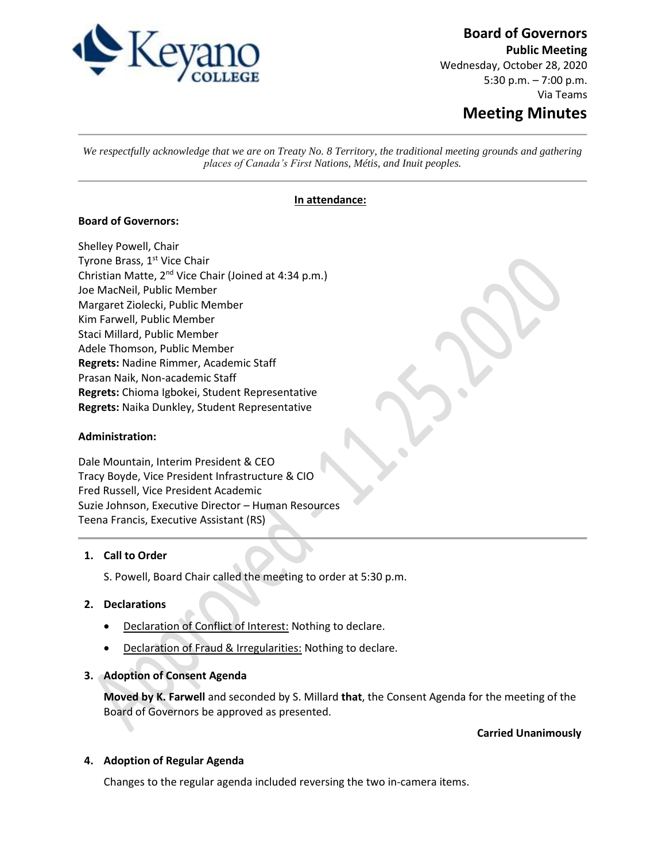

# **Board of Governors**

**Public Meeting** Wednesday, October 28, 2020 5:30 p.m. – 7:00 p.m. Via Teams **Meeting Minutes**

*We respectfully acknowledge that we are on Treaty No. 8 Territory, the traditional meeting grounds and gathering places of Canada's First Nations, Métis, and Inuit peoples.*

### **In attendance:**

### **Board of Governors:**

Shelley Powell, Chair Tyrone Brass, 1<sup>st</sup> Vice Chair Christian Matte, 2nd Vice Chair (Joined at 4:34 p.m.) Joe MacNeil, Public Member Margaret Ziolecki, Public Member Kim Farwell, Public Member Staci Millard, Public Member Adele Thomson, Public Member **Regrets:** Nadine Rimmer, Academic Staff Prasan Naik, Non-academic Staff **Regrets:** Chioma Igbokei, Student Representative **Regrets:** Naika Dunkley, Student Representative

#### **Administration:**

Dale Mountain, Interim President & CEO Tracy Boyde, Vice President Infrastructure & CIO Fred Russell, Vice President Academic Suzie Johnson, Executive Director – Human Resources Teena Francis, Executive Assistant (RS)

### **1. Call to Order**

S. Powell, Board Chair called the meeting to order at 5:30 p.m.

#### **2. Declarations**

- Declaration of Conflict of Interest: Nothing to declare.
- Declaration of Fraud & Irregularities: Nothing to declare.

# **3. Adoption of Consent Agenda**

**Moved by K. Farwell** and seconded by S. Millard **that**, the Consent Agenda for the meeting of the Board of Governors be approved as presented.

**Carried Unanimously**

#### **4. Adoption of Regular Agenda**

Changes to the regular agenda included reversing the two in-camera items.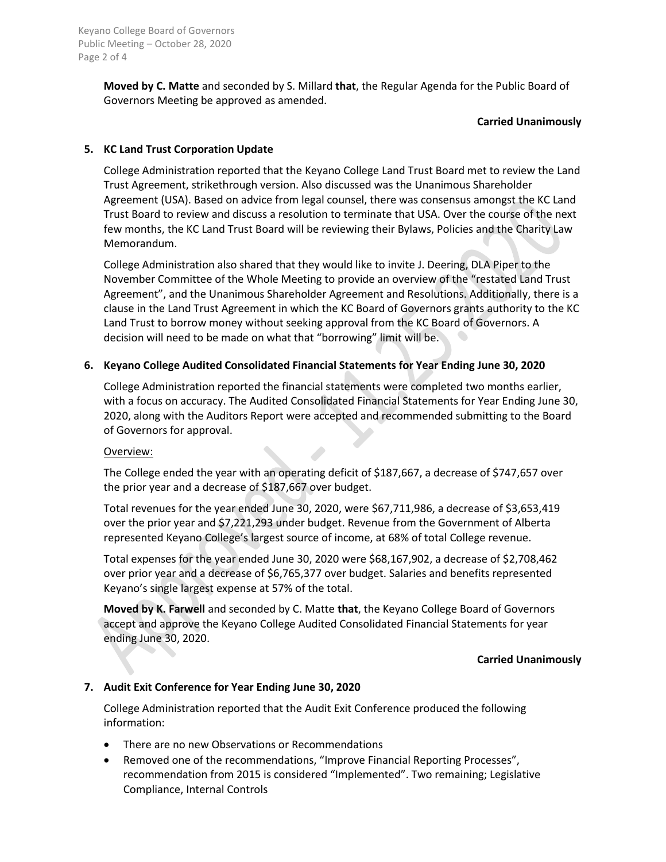**Moved by C. Matte** and seconded by S. Millard **that**, the Regular Agenda for the Public Board of Governors Meeting be approved as amended.

#### **Carried Unanimously**

# **5. KC Land Trust Corporation Update**

College Administration reported that the Keyano College Land Trust Board met to review the Land Trust Agreement, strikethrough version. Also discussed was the Unanimous Shareholder Agreement (USA). Based on advice from legal counsel, there was consensus amongst the KC Land Trust Board to review and discuss a resolution to terminate that USA. Over the course of the next few months, the KC Land Trust Board will be reviewing their Bylaws, Policies and the Charity Law Memorandum.

College Administration also shared that they would like to invite J. Deering, DLA Piper to the November Committee of the Whole Meeting to provide an overview of the "restated Land Trust Agreement", and the Unanimous Shareholder Agreement and Resolutions. Additionally, there is a clause in the Land Trust Agreement in which the KC Board of Governors grants authority to the KC Land Trust to borrow money without seeking approval from the KC Board of Governors. A decision will need to be made on what that "borrowing" limit will be.

# **6. Keyano College Audited Consolidated Financial Statements for Year Ending June 30, 2020**

College Administration reported the financial statements were completed two months earlier, with a focus on accuracy. The Audited Consolidated Financial Statements for Year Ending June 30, 2020, along with the Auditors Report were accepted and recommended submitting to the Board of Governors for approval.

### Overview:

The College ended the year with an operating deficit of \$187,667, a decrease of \$747,657 over the prior year and a decrease of \$187,667 over budget.

Total revenues for the year ended June 30, 2020, were \$67,711,986, a decrease of \$3,653,419 over the prior year and \$7,221,293 under budget. Revenue from the Government of Alberta represented Keyano College's largest source of income, at 68% of total College revenue.

Total expenses for the year ended June 30, 2020 were \$68,167,902, a decrease of \$2,708,462 over prior year and a decrease of \$6,765,377 over budget. Salaries and benefits represented Keyano's single largest expense at 57% of the total.

**Moved by K. Farwell** and seconded by C. Matte **that**, the Keyano College Board of Governors accept and approve the Keyano College Audited Consolidated Financial Statements for year ending June 30, 2020.

#### **Carried Unanimously**

### **7. Audit Exit Conference for Year Ending June 30, 2020**

College Administration reported that the Audit Exit Conference produced the following information:

- There are no new Observations or Recommendations
- Removed one of the recommendations, "Improve Financial Reporting Processes", recommendation from 2015 is considered "Implemented". Two remaining; Legislative Compliance, Internal Controls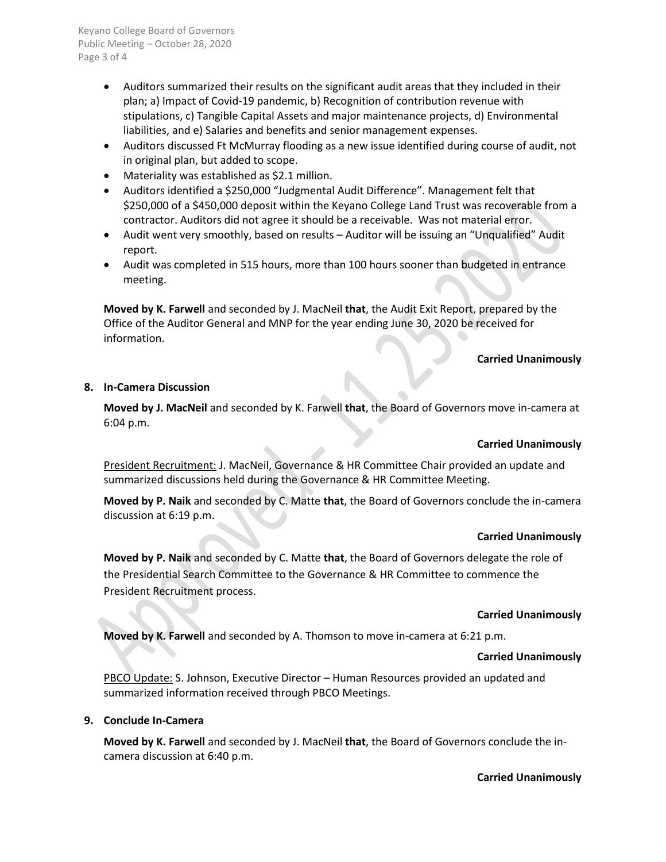- Auditors summarized their results on the significant audit areas that they included in their plan; a) Impact of Covid-19 pandemic, b) Recognition of contribution revenue with stipulations, c) Tangible Capital Assets and major maintenance projects, d) Environmental liabilities, and e) Salaries and benefits and senior management expenses.
- Auditors discussed Ft McMurray flooding as a new issue identified during course of audit, not in original plan, but added to scope.
- Materiality was established as \$2.1 million.
- Auditors identified a \$250,000 "Judgmental Audit Difference". Management felt that \$250,000 of a \$450,000 deposit within the Keyano College Land Trust was recoverable from a contractor. Auditors did not agree it should be a receivable. Was not material error.
- Audit went very smoothly, based on results Auditor will be issuing an "Unqualified" Audit report.
- Audit was completed in 515 hours, more than 100 hours sooner than budgeted in entrance meeting.

**Moved by K. Farwell** and seconded by J. MacNeil **that**, the Audit Exit Report, prepared by the Office of the Auditor General and MNP for the year ending June 30, 2020 be received for information.

### **Carried Unanimously**

# **8. In-Camera Discussion**

**Moved by J. MacNeil** and seconded by K. Farwell **that**, the Board of Governors move in-camera at 6:04 p.m.

### **Carried Unanimously**

President Recruitment: J. MacNeil, Governance & HR Committee Chair provided an update and summarized discussions held during the Governance & HR Committee Meeting.

**Moved by P. Naik** and seconded by C. Matte **that**, the Board of Governors conclude the in-camera discussion at 6:19 p.m.

### **Carried Unanimously**

**Moved by P. Naik** and seconded by C. Matte **that**, the Board of Governors delegate the role of the Presidential Search Committee to the Governance & HR Committee to commence the President Recruitment process.

### **Carried Unanimously**

**Moved by K. Farwell** and seconded by A. Thomson to move in-camera at 6:21 p.m.

### **Carried Unanimously**

PBCO Update: S. Johnson, Executive Director – Human Resources provided an updated and summarized information received through PBCO Meetings.

### **9. Conclude In-Camera**

**Moved by K. Farwell** and seconded by J. MacNeil **that**, the Board of Governors conclude the incamera discussion at 6:40 p.m.

#### **Carried Unanimously**